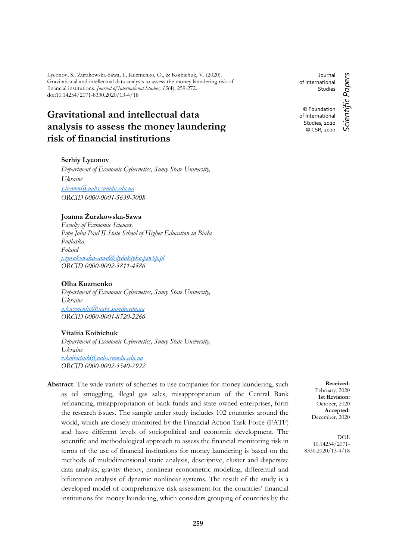Lyeonov, S., Żurakowska-Sawa, J., Kuzmenko, O., & Koibichuk, V. (2020). Gravitational and intellectual data analysis to assess the money laundering risk of financial institutions*. Journal of International Studies, 13*(4), 259-272. doi:10.14254/2071-8330.2020/13-4/18

# **Gravitational and intellectual data analysis to assess the money laundering risk of financial institutions**

### **Serhiy Lyeonov**

*Department of Economic Cybernetics, Sumy State University, Ukraine [s.lieonov@uabs.sumdu.edu.ua](mailto:s.lieonov@uabs.sumdu.edu.ua) ORCID 0000-0001-5639-3008*

### **Joanna Żurakowska-Sawa**

*Faculty of Economic Sciences, Pope John Paul II State School of Higher Education in Biała Podlaska, Poland [j.zurakowska-sawa@dydaktyka.pswbp.pl](mailto:j.zurakowska-sawa@dydaktyka.pswbp.pl) ORCID 0000-0002-3811-4586*

#### **Olha Kuzmenko**

*Department of Economic Cybernetics, Sumy State University, Ukraine [o.kuzmenko@uabs.sumdu.edu.ua](mailto:o.kuzmenko@uabs.sumdu.edu.ua) ORCID 0000-0001-8520-2266*

#### **Vitaliia Koibichuk**

*Department of Economic Cybernetics, Sumy State University, Ukraine [v.koibichuk@uabs.sumdu.edu.ua](mailto:v.koibichuk@uabs.sumdu.edu.ua) ORCID 0000-0002-3540-7922*

**Abstract**. The wide variety of schemes to use companies for money laundering, such as oil smuggling, illegal gas sales, misappropriation of the Central Bank refinancing, misappropriation of bank funds and state-owned enterprises, form the research issues. The sample under study includes 102 countries around the world, which are closely monitored by the Financial Action Task Force (FATF) and have different levels of sociopolitical and economic development. The scientific and methodological approach to assess the financial monitoring risk in terms of the use of financial institutions for money laundering is based on the methods of multidimensional static analysis, descriptive, cluster and dispersive data analysis, gravity theory, nonlinear econometric modeling, differential and bifurcation analysis of dynamic nonlinear systems. The result of the study is a developed model of comprehensive risk assessment for the countries' financial institutions for money laundering, which considers grouping of countries by the

Journal of International **Studies** © Foundation of International Studies, 2020

© CSR, 2020

Scientific Papers *Scientific Papers*

**Received:** February, 2020 **1st Revision:** October, 2020 **Accepted:** December, 2020

DOI: 10.14254/2071- 8330.2020/13-4/18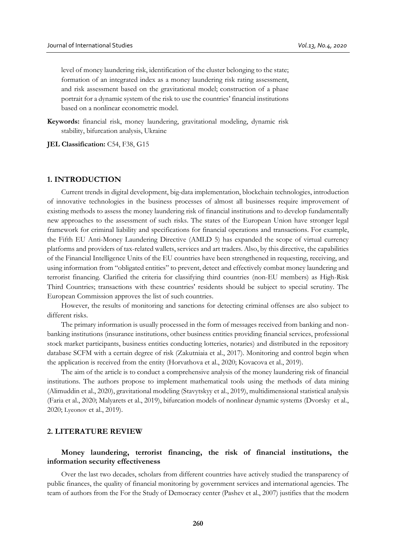level of money laundering risk, identification of the cluster belonging to the state; formation of an integrated index as a money laundering risk rating assessment, and risk assessment based on the gravitational model; construction of a phase portrait for a dynamic system of the risk to use the countries' financial institutions based on a nonlinear econometric model.

**Keywords:** financial risk, money laundering, gravitational modeling, dynamic risk stability, bifurcation analysis, Ukraine

**JEL Classification:** C54, F38, G15

### **1. INTRODUCTION**

Current trends in digital development, big-data implementation, blockchain technologies, introduction of innovative technologies in the business processes of almost all businesses require improvement of existing methods to assess the money laundering risk of financial institutions and to develop fundamentally new approaches to the assessment of such risks. The states of the European Union have stronger legal framework for criminal liability and specifications for financial operations and transactions. For example, the Fifth EU Anti-Money Laundering Directive (AMLD 5) has expanded the scope of virtual currency platforms and providers of tax-related wallets, services and art traders. Also, by this directive, the capabilities of the Financial Intelligence Units of the EU countries have been strengthened in requesting, receiving, and using information from "obligated entities" to prevent, detect and effectively combat money laundering and terrorist financing. Clarified the criteria for classifying third countries (non-EU members) as High-Risk Third Countries; transactions with these countries' residents should be subject to special scrutiny. The European Commission approves the list of such countries.

However, the results of monitoring and sanctions for detecting criminal offenses are also subject to different risks.

The primary information is usually processed in the form of messages received from banking and nonbanking institutions (insurance institutions, other business entities providing financial services, professional stock market participants, business entities conducting lotteries, notaries) and distributed in the repository database SCFM with a certain degree of risk (Zakutniaia et al., 2017). Monitoring and control begin when the application is received from the entity (Horvathova et al., 2020; Kovacova et al., 2019).

The aim of the article is to conduct a comprehensive analysis of the money laundering risk of financial institutions. The authors propose to implement mathematical tools using the methods of data mining (Alimuddin et al., 2020), gravitational modeling (Stavytskyy et al., 2019), multidimensional statistical analysis (Faria et al., 2020; Malyarets et al., 2019), bifurcation models of nonlinear dynamic systems (Dvorsky et al., 2020; Lyeonov et al., 2019).

#### **2. LITERATURE REVIEW**

### **Money laundering, terrorist financing, the risk of financial institutions, the information security effectiveness**

Over the last two decades, scholars from different countries have actively studied the transparency of public finances, the quality of financial monitoring by government services and international agencies. The team of authors from the For the Study of Democracy center (Pashev et al., 2007) justifies that the modern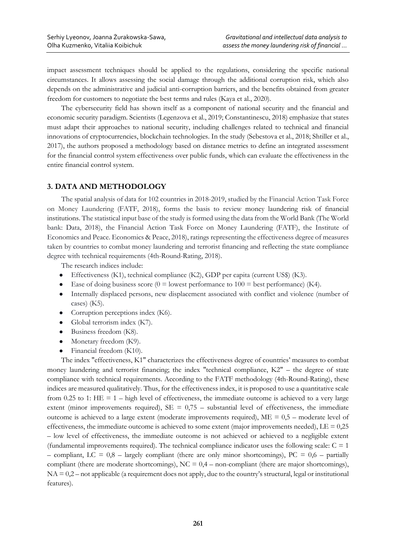impact assessment techniques should be applied to the regulations, considering the specific national circumstances. It allows assessing the social damage through the additional corruption risk, which also depends on the administrative and judicial anti-corruption barriers, and the benefits obtained from greater freedom for customers to negotiate the best terms and rules (Kaya et al., 2020).

The cybersecurity field has shown itself as a component of national security and the financial and economic security paradigm. Scientists (Legenzova et al., 2019; Constantinescu, 2018) emphasize that states must adapt their approaches to national security, including challenges related to technical and financial innovations of cryptocurrencies, blockchain technologies. In the study (Sebestova et al., 2018; Shtiller et al., 2017), the authors proposed a methodology based on distance metrics to define an integrated assessment for the financial control system effectiveness over public funds, which can evaluate the effectiveness in the entire financial control system.

### **3. DATA AND METHODOLOGY**

The spatial analysis of data for 102 countries in 2018-2019, studied by the Financial Action Task Force on Money Laundering (FATF, 2018), forms the basis to review money laundering risk of financial institutions. The statistical input base of the study is formed using the data from the World Bank (The World bank: Data, 2018), the Financial Action Task Force on Money Laundering (FATF), the Institute of Economics and Peace. Economics & Peace, 2018), ratings representing the effectiveness degree of measures taken by countries to combat money laundering and terrorist financing and reflecting the state compliance degree with technical requirements (4th-Round-Rating, 2018).

The research indices include:

- Effectiveness (K1), technical compliance (K2), GDP per capita (current US\$) (K3).
- Ease of doing business score  $(0 =$  lowest performance to  $100 =$  best performance) (K4).
- Internally displaced persons, new displacement associated with conflict and violence (number of cases) (K5).
- Corruption perceptions index (K6).
- Global terrorism index (K7).
- Business freedom (K8).
- Monetary freedom (K9).
- Financial freedom (K10).

The index "effectiveness, K1" characterizes the effectiveness degree of countries' measures to combat money laundering and terrorist financing; the index "technical compliance, K2" – the degree of state compliance with technical requirements. According to the FATF methodology (4th-Round-Rating), these indices are measured qualitatively. Thus, for the effectiveness index, it is proposed to use a quantitative scale from 0.25 to 1:  $HE = 1 - high$  level of effectiveness, the immediate outcome is achieved to a very large extent (minor improvements required),  $SE = 0.75$  – substantial level of effectiveness, the immediate outcome is achieved to a large extent (moderate improvements required),  $ME = 0.5$  – moderate level of effectiveness, the immediate outcome is achieved to some extent (major improvements needed),  $LE = 0.25$ – low level of effectiveness, the immediate outcome is not achieved or achieved to a negligible extent (fundamental improvements required). The technical compliance indicator uses the following scale:  $C = 1$ – compliant, LC =  $0,8$  – largely compliant (there are only minor shortcomings), PC =  $0,6$  – partially compliant (there are moderate shortcomings),  $NC = 0.4 -$  non-compliant (there are major shortcomings),  $NA = 0.2$  – not applicable (a requirement does not apply, due to the country's structural, legal or institutional features).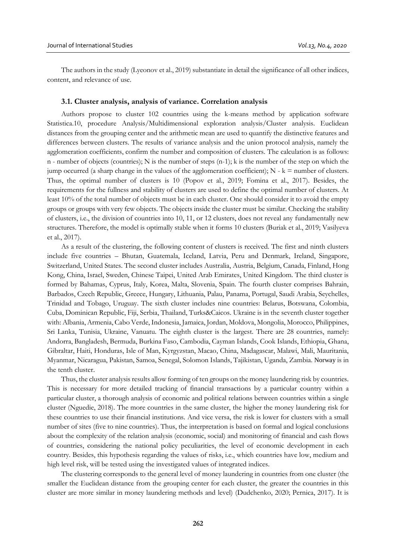The authors in the study (Lyeonov et al., 2019) substantiate in detail the significance of all other indices, content, and relevance of use.

#### **3.1. Cluster analysis, analysis of variance. Correlation analysis**

Authors propose to cluster 102 countries using the k-means method by application software Statistica.10, procedure Analysis/Multidimensional exploration analysis/Cluster analysis. Euclidean distances from the grouping center and the arithmetic mean are used to quantify the distinctive features and differences between clusters. The results of variance analysis and the union protocol analysis, namely the agglomeration coefficients, confirm the number and composition of clusters. The calculation is as follows: n - number of objects (countries); N is the number of steps  $(n-1)$ ; k is the number of the step on which the jump occurred (a sharp change in the values of the agglomeration coefficient);  $N - k =$  number of clusters. Thus, the optimal number of clusters is 10 (Popov et al., 2019; Fomina et al., 2017). Besides, the requirements for the fullness and stability of clusters are used to define the optimal number of clusters. At least 10% of the total number of objects must be in each cluster. One should consider it to avoid the empty groups or groups with very few objects. The objects inside the cluster must be similar. Checking the stability of clusters, i.e., the division of countries into 10, 11, or 12 clusters, does not reveal any fundamentally new structures. Therefore, the model is optimally stable when it forms 10 clusters (Buriak et al., 2019; Vasilyeva et al., 2017).

As a result of the clustering, the following content of clusters is received. The first and ninth clusters include five countries – Bhutan, Guatemala, Iceland, Latvia, Peru and Denmark, Ireland, Singapore, Switzerland, United States. The second cluster includes Australia, Austria, Belgium, Canada, Finland, Hong Kong, China, Israel, Sweden, Chinese Taipei, United Arab Emirates, United Kingdom. The third cluster is formed by Bahamas, Cyprus, Italy, Korea, Malta, Slovenia, Spain. The fourth cluster comprises Bahrain, Barbados, Czech Republic, Greece, Hungary, Lithuania, Palau, Panama, Portugal, Saudi Arabia, Seychelles, Trinidad and Tobago, Uruguay. The sixth cluster includes nine countries: Belarus, Botswana, Colombia, Cuba, Dominican Republic, Fiji, Serbia, Thailand, Turks&Caicos. Ukraine is in the seventh cluster together with: Albania, Armenia, Cabo Verde, Indonesia, Jamaica, Jordan, Moldova, Mongolia, Morocco, Philippines, Sri Lanka, Tunisia, Ukraine, Vanuatu. The eighth cluster is the largest. There are 28 countries, namely: Andorra, Bangladesh, Bermuda, Burkina Faso, Cambodia, Cayman Islands, Cook Islands, Ethiopia, Ghana, Gibraltar, Haiti, Honduras, Isle of Man, Kyrgyzstan, Macao, China, Madagascar, Malawi, Mali, Mauritania, Myanmar, Nicaragua, Pakistan, Samoa, Senegal, Solomon Islands, Tajikistan, Uganda, Zambia. Norway is in the tenth cluster.

Thus, the cluster analysis results allow forming of ten groups on the money laundering risk by countries. This is necessary for more detailed tracking of financial transactions by a particular country within a particular cluster, a thorough analysis of economic and political relations between countries within a single cluster (Nguedie, 2018). The more countries in the same cluster, the higher the money laundering risk for these countries to use their financial institutions. And vice versa, the risk is lower for clusters with a small number of sites (five to nine countries). Thus, the interpretation is based on formal and logical conclusions about the complexity of the relation analysis (economic, social) and monitoring of financial and cash flows of countries, considering the national policy peculiarities, the level of economic development in each country. Besides, this hypothesis regarding the values of risks, i.e., which countries have low, medium and high level risk, will be tested using the investigated values of integrated indices.

The clustering corresponds to the general level of money laundering in countries from one cluster (the smaller the Euclidean distance from the grouping center for each cluster, the greater the countries in this cluster are more similar in money laundering methods and level) (Dudchenko, 2020; Pernica, 2017). It is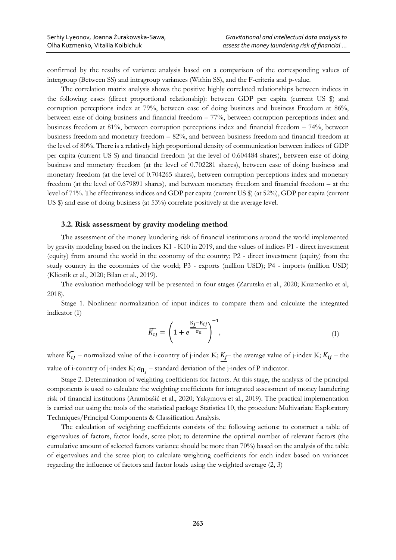confirmed by the results of variance analysis based on a comparison of the corresponding values of intergroup (Between SS) and intragroup variances (Within SS), and the F-criteria and p-value.

The correlation matrix analysis shows the positive highly correlated relationships between indices in the following cases (direct proportional relationship): between GDP per capita (current US \$) and corruption perceptions index at 79%, between ease of doing business and business Freedom at 86%, between ease of doing business and financial freedom – 77%, between corruption perceptions index and business freedom at 81%, between corruption perceptions index and financial freedom – 74%, between business freedom and monetary freedom – 82%, and between business freedom and financial freedom at the level of 80%. There is a relatively high proportional density of communication between indices of GDP per capita (current US \$) and financial freedom (at the level of 0.604484 shares), between ease of doing business and monetary freedom (at the level of 0.702281 shares), between ease of doing business and monetary freedom (at the level of 0.704265 shares), between corruption perceptions index and monetary freedom (at the level of 0.679891 shares), and between monetary freedom and financial freedom – at the level of 71%. The effectiveness indices and GDP per capita (current US \$) (at 52%), GDP per capita (current US \$) and ease of doing business (at 53%) correlate positively at the average level.

#### **3.2. Risk assessment by gravity modeling method**

The assessment of the money laundering risk of financial institutions around the world implemented by gravity modeling based on the indices K1 - K10 in 2019, and the values of indices P1 - direct investment (equity) from around the world in the economy of the country; P2 - direct investment (equity) from the study country in the economies of the world; P3 - exports (million USD); P4 - imports (million USD) (Kliestik et al., 2020; Bilan et al., 2019).

The evaluation methodology will be presented in four stages (Zarutska et al., 2020; Kuzmenko et al, 2018).

Stage 1. Nonlinear normalization of input indices to compare them and calculate the integrated indicator (1)

$$
\widetilde{K_{ij}} = \left(1 + e^{\frac{K_j - K_{ij}}{\sigma_K}}\right)^{-1},\tag{1}
$$

where  $\widetilde{K_{ij}}$  – normalized value of the i-country of j-index K;  $\underline{K_{j}}$  – the average value of j-index K;  $K_{ij}$  – the value of i-country of j-index K;  $\sigma_{\Pi_j}$  – standard deviation of the j-index of P indicator.

Stage 2. Determination of weighting coefficients for factors. At this stage, the analysis of the principal components is used to calculate the weighting coefficients for integrated assessment of money laundering risk of financial institutions (Arambašić et al., 2020; Yakymova et al., 2019). The practical implementation is carried out using the tools of the statistical package Statistica 10, the procedure Multivariate Exploratory Techniques/Principal Components & Classification Analysis.

The calculation of weighting coefficients consists of the following actions: to construct a table of eigenvalues of factors, factor loads, scree plot; to determine the optimal number of relevant factors (the cumulative amount of selected factors variance should be more than 70%) based on the analysis of the table of eigenvalues and the scree plot; to calculate weighting coefficients for each index based on variances regarding the influence of factors and factor loads using the weighted average (2, 3)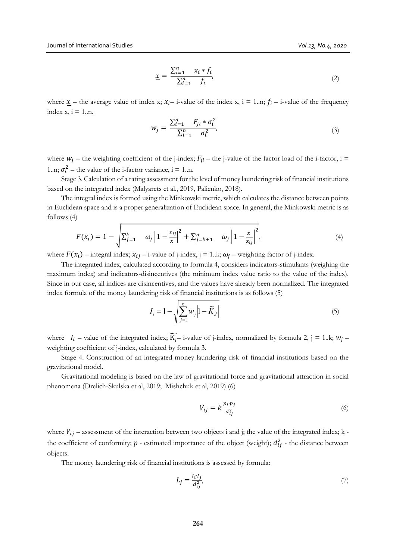$$
\underline{x} = \frac{\sum_{i=1}^{n} x_i * f_i}{\sum_{i=1}^{n} f_i},\tag{2}
$$

where  $\underline{x}$  – the average value of index x;  $x_i$  – i-value of the index x, i = 1..n;  $f_i$  – i-value of the frequency index  $x, i = 1...n$ .

$$
w_j = \frac{\sum_{i=1}^n F_{ji} * \sigma_i^2}{\sum_{i=1}^n \sigma_i^2},
$$
\n(3)

where  $w_i$  – the weighting coefficient of the j-index;  $F_{ii}$  – the j-value of the factor load of the i-factor, i = 1..n;  $\sigma_i^2$  – the value of the i-factor variance, i = 1..n.

Stage 3. Calculation of a rating assessment for the level of money laundering risk of financial institutions based on the integrated index (Malyarets et al., 2019, Palienko, 2018).

The integral index is formed using the Minkowski metric, which calculates the distance between points in Euclidean space and is a proper generalization of Euclidean space. In general, the Minkowski metric is as follows (4)

$$
F(x_i) = 1 - \sqrt{\sum_{j=1}^{k} \omega_j \left| 1 - \frac{x_{ij}}{x} \right|^2 + \sum_{j=k+1}^{n} \omega_j \left| 1 - \frac{x}{x_{ij}} \right|^2},
$$
\n(4)

where  $F(x_i)$  – integral index;  $x_{ij}$  – i-value of j-index, j = 1.k;  $\omega_i$  – weighting factor of j-index.

The integrated index, calculated according to formula 4, considers indicators-stimulants (weighing the maximum index) and indicators-disincentives (the minimum index value ratio to the value of the index). Since in our case, all indices are disincentives, and the values have already been normalized. The integrated index formula of the money laundering risk of financial institutions is as follows (5)

$$
I_i = 1 - \sqrt{\sum_{j=1}^k w_j} \left| 1 - \widetilde{K}_j \right| \tag{5}
$$

where  $I_i$  – value of the integrated index;  $\widetilde{K_i}$ – i-value of j-index, normalized by formula 2, j = 1.k;  $w_i$  – weighting coefficient of j-index, calculated by formula 3.

Stage 4. Construction of an integrated money laundering risk of financial institutions based on the gravitational model.

Gravitational modeling is based on the law of gravitational force and gravitational attraction in social phenomena (Drelich-Skulska et al, 2019; Mishchuk et al, 2019) (6)

$$
V_{ij} = k \frac{p_i \cdot p_j}{d_{ij}^2} \tag{6}
$$

where  $V_{ij}$  – assessment of the interaction between two objects i and j; the value of the integrated index; k the coefficient of conformity;  $p$  - estimated importance of the object (weight);  $d_{ij}^2$  - the distance between objects.

The money laundering risk of financial institutions is assessed by formula:

$$
L_j = \frac{I_i I_j}{d_{ij}^2},\tag{7}
$$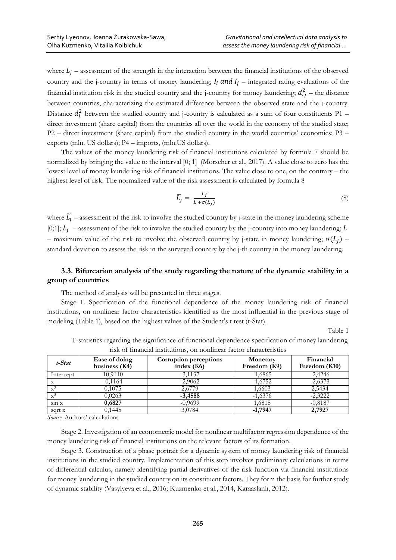where  $L_j$  – assessment of the strength in the interaction between the financial institutions of the observed country and the j-country in terms of money laundering;  $I_i$  and  $I_j$  – integrated rating evaluations of the financial institution risk in the studied country and the j-country for money laundering;  $d_{ij}^2$  – the distance between countries, characterizing the estimated difference between the observed state and the j-country. Distance  $d_f^2$  between the studied country and j-country is calculated as a sum of four constituents P1 – direct investment (share capital) from the countries all over the world in the economy of the studied state; Р2 – direct investment (share capital) from the studied country in the world countries' economies; Р3 – exports (mln. US dollars); Р4 – imports, (mln.US dollars).

The values of the money laundering risk of financial institutions calculated by formula 7 should be normalized by bringing the value to the interval [0; 1] (Morscher et al., 2017). A value close to zero has the lowest level of money laundering risk of financial institutions. The value close to one, on the contrary – the highest level of risk. The normalized value of the risk assessment is calculated by formula 8

$$
\widetilde{L_j} = \frac{L_j}{L + \sigma(L_j)}\tag{8}
$$

where  $\tilde{L}_J$  – assessment of the risk to involve the studied country by j-state in the money laundering scheme [0;1];  $L_i$  – assessment of the risk to involve the studied country by the j-country into money laundering; L – maximum value of the risk to involve the observed country by j-state in money laundering;  $\sigma(L_i)$  – standard deviation to assess the risk in the surveyed country by the j-th country in the money laundering.

### **3.3. Bifurcation analysis of the study regarding the nature of the dynamic stability in a group of countries**

The method of analysis will be presented in three stages.

Stage 1. Specification of the functional dependence of the money laundering risk of financial institutions, on nonlinear factor characteristics identified as the most influential in the previous stage of modeling (Table 1), based on the highest values of the Student's t test (t-Stat).

Table 1

| risk of financial institutions, on nonlinear factor characteristics |                                  |                                               |                          |                            |  |  |  |
|---------------------------------------------------------------------|----------------------------------|-----------------------------------------------|--------------------------|----------------------------|--|--|--|
| t-Stat                                                              | Ease of doing<br>business $(K4)$ | <b>Corruption perceptions</b><br>index $(K6)$ | Monetary<br>Freedom (K9) | Financial<br>Freedom (K10) |  |  |  |
| Intercept                                                           | 10.9110                          | $-3.1137$                                     | $-1.6865$                | $-2.4246$                  |  |  |  |
|                                                                     | $-0.1164$                        | $-2,9062$                                     | $-1.6752$                | $-2,6373$                  |  |  |  |

<sup>2</sup> 0,1075 2,6779 1,6603 2,5434

<sup>3</sup> 0,0263 **-3,4588** -1,6376 -2,3222 sin x **0,6827** -0,9699 1,6818 -0,8187 sqrt x 0,1445 3,0784 **-1,7947 2,7927**

T-statistics regarding the significance of functional dependence specification of money laundering

*Source*: Authors' calculations

 $x^2$ 

 $X^2$ 

Stage 2. Investigation of an econometric model for nonlinear multifactor regression dependence of the money laundering risk of financial institutions on the relevant factors of its formation.

Stage 3. Construction of a phase portrait for a dynamic system of money laundering risk of financial institutions in the studied country. Implementation of this step involves preliminary calculations in terms of differential calculus, namely identifying partial derivatives of the risk function via financial institutions for money laundering in the studied country on its constituent factors. They form the basis for further study of dynamic stability (Vasylyeva et al., 2016; Kuzmenko et al., 2014, Karaaslanlı, 2012).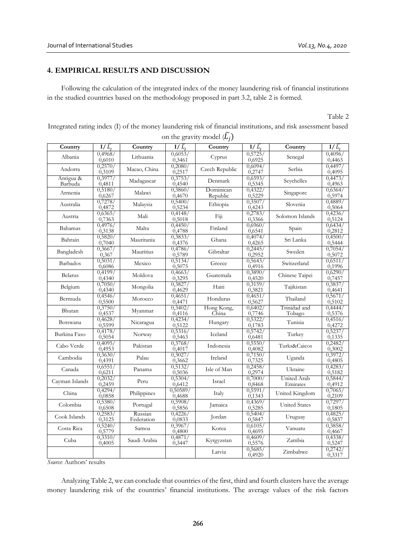## **4. EMPIRICAL RESULTS AND DISCUSSION**

Following the calculation of the integrated index of the money laundering risk of financial institutions in the studied countries based on the methodology proposed in part 3.2, table 2 is formed.

Table 2

| Integrated rating index (I) of the money laundering risk of financial institutions, and risk assessment based |
|---------------------------------------------------------------------------------------------------------------|
| on the gravity model $(\overline{L}_i)$                                                                       |

| Country              | $I/\tilde{L_1}$   | Country               | $\circ$<br>$I/\widetilde{L}_1$ | $\rightarrow$<br>Country | I/L               | Country                 | I/L                                |
|----------------------|-------------------|-----------------------|--------------------------------|--------------------------|-------------------|-------------------------|------------------------------------|
| Albania              | 0,4968/<br>0,6010 | Lithuania             | 0,6053/<br>0,3461              | Cyprus                   | 0,5725/<br>0,6925 | Senegal                 | 0,4096/<br>0,4463                  |
| Andorra              | 0,2570/<br>0,3109 | Macao, China          | 0,2080/<br>0,2517              | Czech Republic           | 0,6094/<br>0,2747 | Serbia                  | 0,4497,<br>0,4095                  |
| Antigua &<br>Barbuda | 0,3977<br>0,4811  | Madagascar            | 0,3753<br>0,4540               | Denmark                  | 0,6593/<br>0,5345 | Seychelles              | 0,4473<br>0,4963                   |
| Armenia              | 0,5180/<br>0,6267 | Malawi                | 0,3860/<br>0,4670              | Dominican<br>Republic    | 0,4322,<br>0,5229 | Singapore               | 0,6364/<br>0,5974                  |
| Australia            | 0,7278/<br>0,4872 | Malaysia              | 0,5400/<br>0,5234              | Ethiopia                 | 0,3507/<br>0,4243 | Slovenia                | 0,4889/<br>0,5064                  |
| Austria              | 0,6365/<br>0,7363 | Mali                  | 0,4148/<br>0,5018              | Fiji                     | 0,2783/<br>0,3366 | Solomon Islands         | 0,4236/<br>0,5124                  |
| Bahamas              | 0,4976/<br>0,3138 | Malta                 | 0,4450/<br>0,4788              | Finland                  | 0,6960<br>0,6541  | Spain                   | 0,6434/<br>0,2812                  |
| Bahrain              | 0,5820/<br>0,7040 | Mauritania            | 0,3833/<br>0,4376              | Ghana                    | 0,4074/<br>0,4265 | Sri Lanka               | 0,4500/<br>0,5444                  |
| Bangladesh           | 0,3667/<br>0,367  | Mauritius             | 0,4786/<br>0,5789              | Gibraltar                | 0,2445/<br>0,2952 | Sweden                  | 0,7054/<br>0,5072                  |
| Barbados             | 0,5031/<br>0,6086 | Mexico                | 0,5134/<br>0,5075              | Greece                   | 0,5643/<br>0,4916 | Switzerland             | 0,6511/<br>$\frac{0,1996}{0,6290}$ |
| Belarus              | 0,4199/<br>0,4340 | Moldova               | 0,4663/<br>0,3295              | Guatemala                | 0,3890<br>0,4520  | Chinese Taipei          | 0,7457                             |
| Belgium              | 0,7050/<br>0,4340 | Mongolia              | 0,3827/<br>0,4629              | Haiti                    | 0,3159/<br>0,3821 | Tajikistan              | 0,3837/<br>0,4641                  |
| Bermuda              | 0,4546/<br>0,5500 | Morocco               | 0,4651/<br>0,4471              | Honduras                 | 0,4651/<br>0,5627 | Thailand                | 0,5671/<br>0,5102                  |
| Bhutan               | 0,3750/<br>0,4537 | Myanmar               | 0,3402/<br>0,4116              | Hong Kong,<br>China      | 0,6402/<br>0,7746 | Trinidad and<br>Tobago  | 0,4444/<br>0,5376                  |
| Botswana             | 0,4628/<br>0,5599 | Nicaragua             | 0,4234/<br>0,5122              | Hungary                  | 0,5322,<br>0,1783 | Tunisia                 | 0,4516/<br>0,4272                  |
| Burkina Faso         | 0,4178/<br>0,5054 | Norway                | 0,5316/<br>0,5463              | Iceland                  | 0,5742,<br>0,6481 | Turkey                  | 0,5237<br>0,1335                   |
| Cabo Verde           | 0,4095/<br>0,4953 | Pakistan              | 0,3768/<br>0,4017              | Indonesia                | 0,5550/<br>0,4082 | Turks&Caicos            | 0,2482/<br>0,3002                  |
| Cambodia             | 0,3630/<br>0,4391 | Palau                 | 0,3027/<br>0,3662              | Ireland                  | 0,7150/<br>0,7325 | Uganda                  | 0,3972<br>0,4805                   |
| Canada               | 0,6551/<br>0,6211 | Panama                | 0,5132/<br>0,5036              | Isle of Man              | 0,2458/<br>0,2974 | Ukraine                 | 0,4283/<br>0,5182                  |
| Cayman Islands       | 0,2032/<br>0,2459 | Peru                  | 0,5304/<br>0,6412              | Israel                   | 0,7000/<br>0,8468 | United Arab<br>Emirates | 0,5844/<br>0,4912                  |
| China                | 0,4294/<br>0,0858 | Philippines           | 0,50589/<br>0,4688             | Italy                    | 0,5591/<br>0,1343 | United Kingdom          | 0,7065/<br>0,2109                  |
| Colombia             | 0,5380/<br>0,6508 | Portugal              | 0,5908/<br>0,5856              | Jamaica                  | 0,4369<br>0,5285  | <b>United States</b>    | 0,7297/<br>0,1805                  |
| Cook Islands         | 0,2583/<br>0,3125 | Russian<br>Federation | 0,4226/<br>0,0833              | Jordan                   | 0,5404/<br>0,5847 | Uruguay                 | 0,4825/<br>0,5837                  |
| Costa Rica           | 0,5240/<br>0,5779 | Samoa                 | 0,3967/<br>0,4800              | Korea                    | 0,6105<br>0,4695  | Vanuatu                 | 0,3858/<br>0,4667                  |
| Cuba                 | 0,3310/<br>0,4005 | Saudi Arabia          | 0,4871/<br>0,3447              | Kyrgyzstan               | 0,4609/<br>0,5576 | Zambia                  | 0,4338/<br>0,5247                  |
|                      |                   |                       |                                | Latvia                   | 0,5685/<br>0,4920 | Zimbabwe                | 0,2742/<br>0,3317                  |

*Source*: Authors' results

Analyzing Table 2, we can conclude that countries of the first, third and fourth clusters have the average money laundering risk of the countries' financial institutions. The average values of the risk factors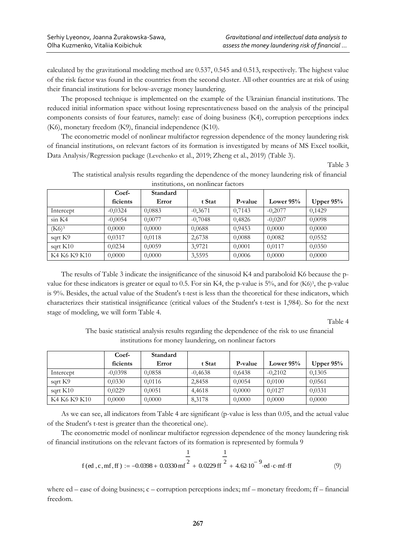calculated by the gravitational modeling method are 0.537, 0.545 and 0.513, respectively. The highest value of the risk factor was found in the countries from the second cluster. All other countries are at risk of using their financial institutions for below-average money laundering.

The proposed technique is implemented on the example of the Ukrainian financial institutions. The reduced initial information space without losing representativeness based on the analysis of the principal components consists of four features, namely: ease of doing business (K4), corruption perceptions index (K6), monetary freedom (K9), financial independence (K10).

The econometric model of nonlinear multifactor regression dependence of the money laundering risk of financial institutions, on relevant factors of its formation is investigated by means of MS Excel toolkit, Data Analysis/Regression package (Levchenko et al., 2019; [Zheng](http://www.transformations.knf.vu.lt/48c/contrib/xzh) et al., 2019) (Table 3).

Table 3

|              | msututuons, on nomintai factors<br>Standard |        |           |         |             |             |
|--------------|---------------------------------------------|--------|-----------|---------|-------------|-------------|
|              | Coef-                                       |        |           |         |             |             |
|              | ficients                                    | Error  | t Stat    | P-value | Lower $95%$ | Upper $95%$ |
| Intercept    | $-0,0324$                                   | 0,0883 | $-0,3671$ | 0,7143  | $-0,2077$   | 0.1429      |
| sin K4       | $-0,0054$                                   | 0,0077 | $-0,7048$ | 0,4826  | $-0,0207$   | 0.0098      |
| $(K6)^3$     | 0,0000                                      | 0,0000 | 0,0688    | 0.9453  | 0,0000      | 0,0000      |
| sqrt K9      | 0,0317                                      | 0,0118 | 2,6738    | 0,0088  | 0,0082      | 0,0552      |
| sqrt $K10$   | 0,0234                                      | 0,0059 | 3,9721    | 0,0001  | 0.0117      | 0,0350      |
| K4 K6 K9 K10 | 0,0000                                      | 0,0000 | 3,5595    | 0,0006  | 0,0000      | 0,0000      |

The statistical analysis results regarding the dependence of the money laundering risk of financial institutions, on nonlinear factors

The results of Table 3 indicate the insignificance of the sinusoid K4 and paraboloid K6 because the pvalue for these indicators is greater or equal to 0.5. For sin K4, the p-value is 5%, and for (K6)<sup>3</sup>, the p-value is 9%. Besides, the actual value of the Student's t-test is less than the theoretical for these indicators, which characterizes their statistical insignificance (critical values of the Student's t-test is 1,984). So for the next stage of modeling, we will form Table 4.

Table 4

The basic statistical analysis results regarding the dependence of the risk to use financial institutions for money laundering, on nonlinear factors

|              | Coef-     | Standard |           |         |             |             |
|--------------|-----------|----------|-----------|---------|-------------|-------------|
|              | ficients  | Error    | t Stat    | P-value | Lower $95%$ | Upper $95%$ |
| Intercept    | $-0.0398$ | 0,0858   | $-0,4638$ | 0,6438  | $-0,2102$   | 0,1305      |
| sqrt K9      | 0,0330    | 0,0116   | 2,8458    | 0,0054  | 0.0100      | 0,0561      |
| sqrt K10     | 0.0229    | 0.0051   | 4.4618    | 0,0000  | 0.0127      | 0.0331      |
| K4 K6 K9 K10 | 0,0000    | 0,0000   | 8,3178    | 0,0000  | 0,0000      | 0,0000      |

As we can see, all indicators from Table 4 are significant (p-value is less than 0.05, and the actual value of the Student's t-test is greater than the theoretical one).

The econometric model of nonlinear multifactor regression dependence of the money laundering risk of financial institutions on the relevant factors of its formation is represented by formula 9

$$
\frac{1}{f (ed, c, mf, ff)} := -0.0398 + 0.0330 \text{ mf}^2 + 0.0229 \text{ ff}^2 + 4.62 \text{ 10}^{-9} \text{ ed} \cdot c \text{ mf} \cdot \text{ff}
$$
 (9)

where ed – ease of doing business; c – corruption perceptions index; mf – monetary freedom; ff – financial freedom.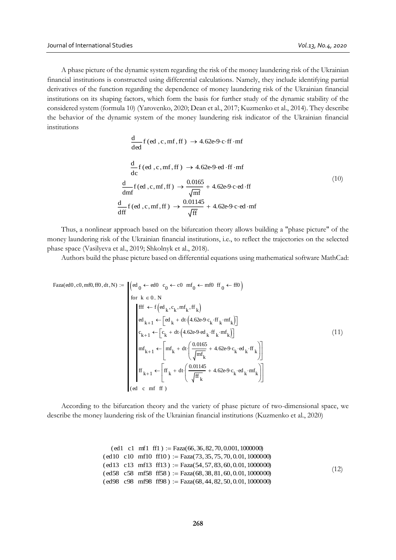A phase picture of the dynamic system regarding the risk of the money laundering risk of the Ukrainian financial institutions is constructed using differential calculations. Namely, they include identifying partial derivatives of the function regarding the dependence of money laundering risk of the Ukrainian financial institutions on its shaping factors, which form the basis for further study of the dynamic stability of the considered system (formula 10) (Yarovenko, 2020; Dean et al., 2017; Kuzmenko et al., 2014). They describe the behavior of the dynamic system of the money laundering risk indicator of the Ukrainian financial institutions

$$
\frac{d}{ded} f (ed, c, mf, ff) \rightarrow 4.62e-9 c \cdot ff \cdot mf
$$
\n
$$
\frac{d}{dc} f (ed, c, mf, ff) \rightarrow 4.62e-9 \cdot ed \cdot ff \cdot mf
$$
\n
$$
\frac{d}{dm} f (ed, c, mf, ff) \rightarrow \frac{0.0165}{\sqrt{mf}} + 4.62e-9 c \cdot ed \cdot ff
$$
\n
$$
\frac{d}{df} f (ed, c, mf, ff) \rightarrow \frac{0.01145}{\sqrt{ff}} + 4.62e-9 c \cdot ed \cdot mf
$$
\n(10)

Thus, a nonlinear approach based on the bifurcation theory allows building a "phase picture" of the money laundering risk of the Ukrainian financial institutions, i.e., to reflect the trajectories on the selected phase space (Vasilyeva et al., 2019; Shkolnyk et al., 2018).

Authors build the phase picture based on differential equations using mathematical software MathCad:

$$
Faza(ed0, c0, mf0, fff0, dt, N) := \begin{cases} (ed_0 \leftarrow ed0 & c_0 \leftarrow c0 \text{ m}f_0 \leftarrow mf0 \text{ ff } 0 \leftarrow ff0) \\ \text{for } k \in 0.. N \\ \text{eff } \leftarrow f\left(ed_k, c_k, m f_k, ff_k\right) \\ cd_{k+1} \leftarrow \left[ cd_k + dt \cdot \left(4.62e^9 \cdot c_k \cdot ff_k \cdot mf_k\right)\right] \\ c_{k+1} \leftarrow \left[c_k + dt \cdot \left(4.62e^9 \cdot cd_k \cdot ff_k \cdot mf_k\right)\right] \\ mf_{k+1} \leftarrow \left[m f_k + dt \cdot \left(\frac{0.0165}{\sqrt{mf_k}} + 4.62e^9 \cdot c_k \cdot ed_k \cdot ff_k\right)\right] \\ ff_{k+1} \leftarrow \left[f f_k + dt \cdot \left(\frac{0.01145}{\sqrt{ff_k}} + 4.62e^9 \cdot c_k \cdot ed_k \cdot mf_k\right)\right] \\ (ed \text{ c m f f)} \end{cases} \tag{11}
$$

According to the bifurcation theory and the variety of phase picture of two-dimensional space, we describe the money laundering risk of the Ukrainian financial institutions (Kuzmenko et al., 2020)

$$
(ed1 c1 mf1 f1) := Faza(66, 36, 82, 70, 0.001, 1000000)
$$
  
\n
$$
(ed10 c10 mf10 f10) := Faza(73, 35, 75, 70, 0.01, 1000000)
$$
  
\n
$$
(ed13 c13 mf13 f13) := Faza(54, 57, 83, 60, 0.01, 1000000)
$$
  
\n
$$
(ed58 c58 mf58 f58) := Faza(68, 38, 81, 60, 0.01, 1000000)
$$
  
\n
$$
(ed98 c98 mf98 f798) := Faza(68, 44, 82, 50, 0.01, 1000000)
$$
\n
$$
(12)
$$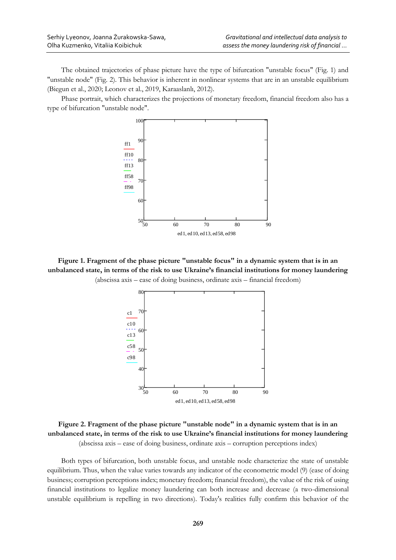The obtained trajectories of phase picture have the type of bifurcation "unstable focus" (Fig. 1) and "unstable node" (Fig. 2). This behavior is inherent in nonlinear systems that are in an unstable equilibrium (Biegun et al., 2020; Leonov et al., 2019, Karaaslanlı, 2012).

Phase portrait, which characterizes the projections of monetary freedom, financial freedom also has a type of bifurcation "unstable node".



**Figure 1. Fragment of the phase picture "unstable focus" in a dynamic system that is in an unbalanced state, in terms of the risk to use Ukraine's financial institutions for money laundering**  (abscissa axis – ease of doing business, ordinate axis – financial freedom)



**Figure 2. Fragment of the phase picture "unstable node" in a dynamic system that is in an unbalanced state, in terms of the risk to use Ukraine's financial institutions for money laundering**  (abscissa axis – ease of doing business, ordinate axis – corruption perceptions index)

Both types of bifurcation, both unstable focus, and unstable node characterize the state of unstable equilibrium. Thus, when the value varies towards any indicator of the econometric model (9) (ease of doing business; corruption perceptions index; monetary freedom; financial freedom), the value of the risk of using financial institutions to legalize money laundering can both increase and decrease (a two-dimensional unstable equilibrium is repelling in two directions). Today's realities fully confirm this behavior of the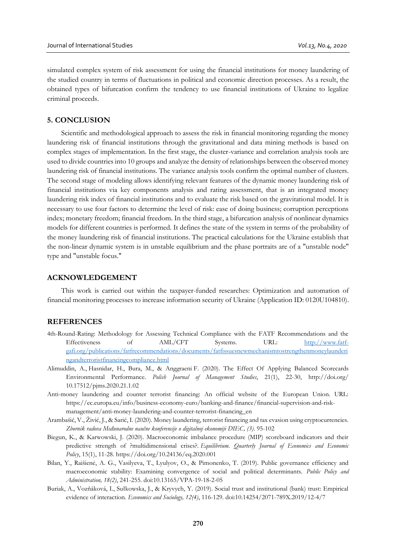simulated complex system of risk assessment for using the financial institutions for money laundering of the studied country in terms of fluctuations in political and economic direction processes. As a result, the obtained types of bifurcation confirm the tendency to use financial institutions of Ukraine to legalize criminal proceeds.

### **5. CONCLUSION**

Scientific and methodological approach to assess the risk in financial monitoring regarding the money laundering risk of financial institutions through the gravitational and data mining methods is based on complex stages of implementation. In the first stage, the cluster-variance and correlation analysis tools are used to divide countries into 10 groups and analyze the density of relationships between the observed money laundering risk of financial institutions. The variance analysis tools confirm the optimal number of clusters. The second stage of modeling allows identifying relevant features of the dynamic money laundering risk of financial institutions via key components analysis and rating assessment, that is an integrated money laundering risk index of financial institutions and to evaluate the risk based on the gravitational model. It is necessary to use four factors to determine the level of risk: ease of doing business; corruption perceptions index; monetary freedom; financial freedom. In the third stage, a bifurcation analysis of nonlinear dynamics models for different countries is performed. It defines the state of the system in terms of the probability of the money laundering risk of financial institutions. The practical calculations for the Ukraine establish that the non-linear dynamic system is in unstable equilibrium and the phase portraits are of a "unstable node" type and "unstable focus."

#### **ACKNOWLEDGEMENT**

This work is carried out within the taxpayer-funded researches: Optimization and automation of financial monitoring processes to increase information security of Ukraine (Application ID: 0120U104810).

#### **REFERENCES**

- 4th-Round-Rating: Methodology for Assessing Technical Compliance with the FATF Recommendations and the Effectiveness of AML/CFT Systems. URL: [http://www.fatf](http://www.fatf-gafi.org/publications/fatfrecommendations/documents/fatfissuesnewmechanismtostrengthenmoneylaunderingandterroristfinancingcompliance.html)[gafi.org/publications/fatfrecommendations/documents/fatfissuesnewmechanismtostrengthenmoneylaunderi](http://www.fatf-gafi.org/publications/fatfrecommendations/documents/fatfissuesnewmechanismtostrengthenmoneylaunderingandterroristfinancingcompliance.html) [ngandterroristfinancingcompliance.html](http://www.fatf-gafi.org/publications/fatfrecommendations/documents/fatfissuesnewmechanismtostrengthenmoneylaunderingandterroristfinancingcompliance.html)
- Alimuddin, A., Hasnidar, H., Bura, M., & Anggraeni F. (2020). The Effect Of Applying Balanced Scorecards Environmental Performance. *Polish Journal of Management Studies*, 21(1), 22-30, http://doi.org/ 10.17512/pjms.2020.21.1.02
- Anti-money laundering and counter terrorist financing: An official website of the European Union. URL: https://ec.europa.eu/info/business-economy-euro/banking-and-finance/financial-supervision-and-riskmanagement/anti-money-laundering-and-counter-terrorist-financing\_en
- Arambašić, V., Živić, J., & Sarić, I. (2020). Money laundering, terrorist financing and tax evasion using cryptocurrencies. *Zbornik radova Međunarodne naučne konferencije o digitalnoj ekonomiji DIEC, (3)*. 95-102
- Biegun, K., & Karwowski, J. (2020). Macroeconomic imbalance procedure (MIP) scoreboard indicators and their predictive strength of ?multidimensional crises?. *Equilibrium. Quarterly Journal of Economics and Economic Policy*, 15(1), 11-28. https://doi.org/10.24136/eq.2020.001
- Bilan, Y., Raišienė, A. G., Vasilyeva, T., Lyulyov, O., & Pimonenko, T. (2019). Public governance efficiency and macroeconomic stability: Examining convergence of social and political determinants. *Public Policy and Administration, 18(2)*, 241-255. doi:10.13165/VPA-19-18-2-05
- Buriak, A., Vozňáková, I., Sułkowska, J., & Kryvych, Y. (2019). Social trust and institutional (bank) trust: Empirical evidence of interaction. *Economics and Sociology, 12(4)*, 116-129. doi:10.14254/2071-789X.2019/12-4/7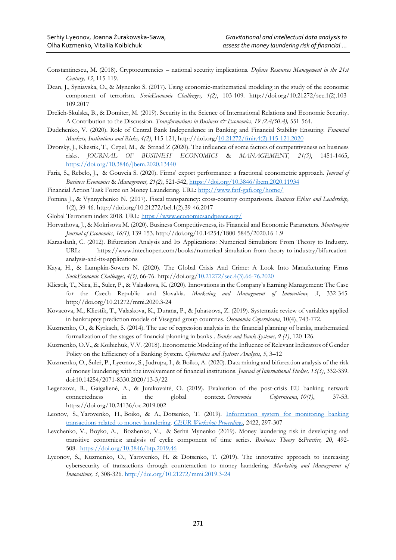- Constantinescu, M. (2018). Cryptocurrencies national security implications*. Defense Resources Management in the 21st Century, 13*, 115-119.
- Dean, J., Syniavska, O., & Mynenko S. (2017). Using economic-mathematical modeling in the study of the economic component of terrorism. *SocioEconomic Challenges, 1(2)*, 103-109. http://doi.org/10.21272/sec.1(2).103- 109.2017
- Drelich-Skulska, B., & Domiter, M. (2019). Security in the Science of International Relations and Economic Security. A Contribution to the Discussion. *Transformations in Business & Economics*, *19 (2A(50A),* 551-564*.*
- Dudchenko, V. (2020). Role of Central Bank Independence in Banking and Financial Stability Ensuring. *Financial Markets, Institutions and Risks, 4(2)*, 115-121, http://doi.org[/10.21272/fmir.4\(2\).115-121.2020](https://doi.org/10.21272/fmir.4(2).115-121.2020)
- Dvorsky, J., Kliestik, T., Cepel, M., & Strnad Z (2020). The influence of some factors of competitiveness on business risks. *JOURNAL OF BUSINESS ECONOMICS* & *MANAGEMENT, 21(5)*, 1451-1465, <https://doi.org/10.3846/jbem.2020.13440>
- Faria, S., Rebelo, J., & Gouveia S. (2020). Firms' export performance: a fractional econometric approach. *Journal of Business Economics* & *Management, 21(2)*, 521-542,<https://doi.org/10.3846/jbem.2020.11934>
- Financial Action Task Force on Money Laundering. URL:<http://www.fatf-gafi.org/home/>
- Fomina J., & Vynnychenko N. (2017). Fiscal transparency: cross-country comparisons. *Business Ethics and Leadership,* 1(2), 39-46. http://doi.org/10.21272/bel.1(2).39-46.2017
- Global Terrorism index 2018. URL:<https://www.economicsandpeace.org/>
- Horvathova, J., & Mokrisova M. (2020). Business Competitiveness, its Financial and Economic Parameters. *Montenegrin Journal of Economics*, *16(1)*, 139-153. http://doi.org/10.14254/1800-5845/2020.16-1.9
- Karaaslanlı, С. (2012). Bifurcation Analysis and Its Applications: Numerical Simulation: From Theory to Industry. URL: https://www.intechopen.com/books/numerical-simulation-from-theory-to-industry/bifurcationanalysis-and-its-applications
- Kaya, H., & Lumpkin-Sowers N. (2020). The Global Crisis And Crime: A Look Into Manufacturing Firms *SocioEconomic Challenges, 4(3)*, 66-76. http://doi.org[/10.21272/sec.4\(3\).66-76.2020](https://doi.org/10.21272/sec.4(3).66-76.2020)
- Kliestik, T., Nica, E., Suler, P., & Valaskova, K. (2020). Innovations in the Company's Earning Management: The Case for the Czech Republic and Slovakia. *Marketing and Management of Innovations, 3*, 332-345. http://doi.org/10.21272/mmi.2020.3-24
- Kovacova, M., Kliestik, T., Valaskova, K., Durana, P., & Juhaszova, Z. (2019). Systematic review of variables applied in bankruptcy prediction models of Visegrad group countries. *Oeconomia Copernicana*, 10(4), 743-772.
- Kuzmenko, O., & Kyrkach, S. (2014). The use of regression analysis in the financial planning of banks, mathematical formalization of the stages of financial planning in banks . *Banks and Bank Systems, 9 (1)*, 120-126.
- Kuzmenko, O.V., & Koibichuk, V.V. (2018). Econometric Modeling of the Influence of Relevant Indicators of Gender Policy on the Efficiency of a Banking System. *Cybernetics and Systems Analysis, 5*, 3–12
- Kuzmenko, O., Šuleř, P., Lyeonov, S., Judrupa, I., & Boiko, A. (2020). Data mining and bifurcation analysis of the risk of money laundering with the involvement of financial institutions. *Journal of International Studies, 13(3)*, 332-339. doi:10.14254/2071-8330.2020/13-3/22
- Legenzova, R., Gaigalienė, A., & Jurakovaitė, O. (2019). Evaluation of the post-crisis EU banking network connectedness in the global context. *Oeconomia Copernicana*, *10(1)*, 37-53. https://doi.org/10.24136/oc.2019.002
- Leonov, S., Yarovenko, H., Boiko, & A., Dotsenko, T. (2019). [Information system for monitoring banking](https://www2.scopus.com/record/display.uri?eid=2-s2.0-85071081226&origin=resultslist&sort=plf-f&src=s&sid=0bf8ab074de2624d80b98e5cae77099f&sot=autdocs&sdt=autdocs&sl=18&s=AU-ID%2856974516800%29&relpos=20&citeCnt=0&searchTerm=)  [transactions related to money laundering.](https://www2.scopus.com/record/display.uri?eid=2-s2.0-85071081226&origin=resultslist&sort=plf-f&src=s&sid=0bf8ab074de2624d80b98e5cae77099f&sot=autdocs&sdt=autdocs&sl=18&s=AU-ID%2856974516800%29&relpos=20&citeCnt=0&searchTerm=) *[CEUR Workshop Proceedings](https://www2.scopus.com/sourceid/21100218356?origin=resultslist)*, 2422, 297-307
- Levchenko, V., Boyko, A., Bozhenko, V., & Serhii Mynenko (2019). Money laundering risk in developing and transitive economies: analysis of cyclic component of time series. *Business: Theory* &*Practice, 20*, 492- 508. <https://doi.org/10.3846/btp.2019.46>
- Lyeonov, S., Кuzmenko, О., Yarovenko, H. & Dotsenko, T. (2019). The innovative approach to increasing cybersecurity of transactions through counteraction to money laundering. *Marketing and Management of Innovations, 3*, 308-326. [http://doi.org/10.21272/mmi.2019.3-24](http://doi.org/10.21272/mmi.2019.3-24?fbclid=IwAR2yowPG7zRnvBSEft3MPqKRbqkYaQgNkMRDv3lm5TZrh29YHn0zCgkUMF0)